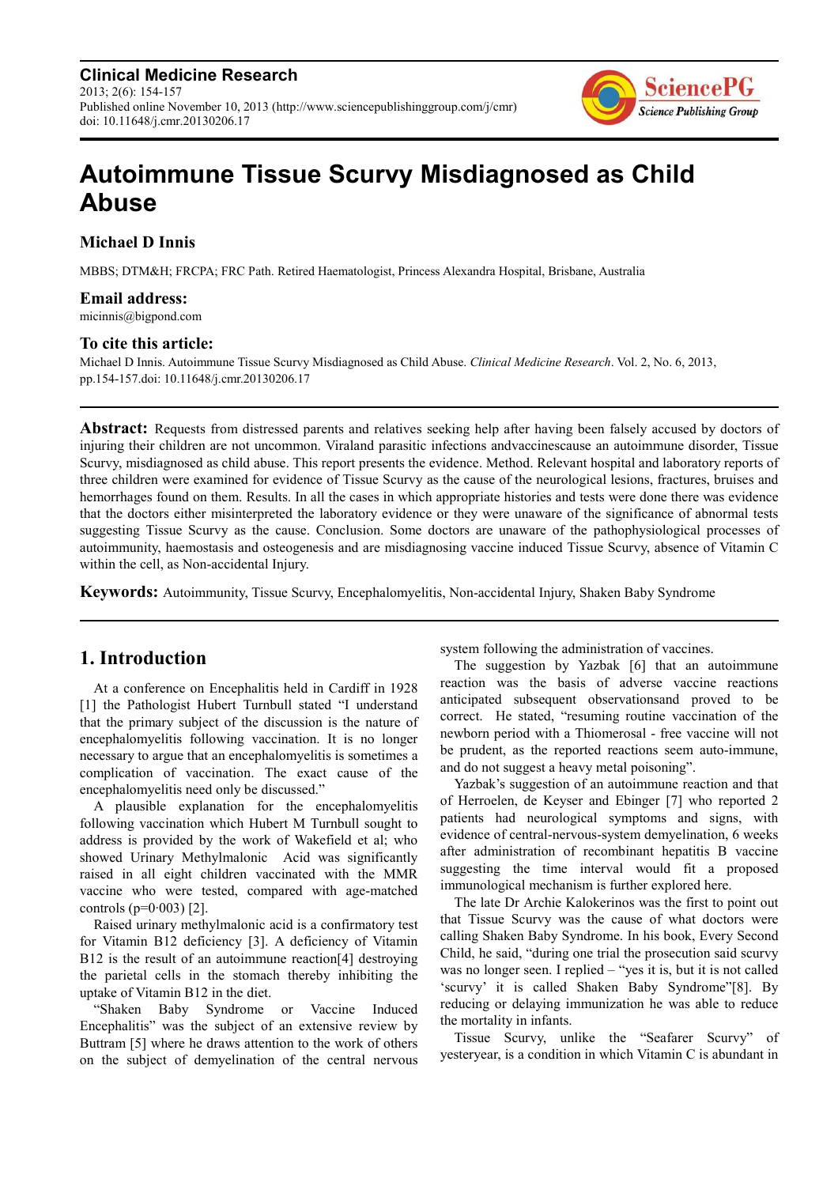**Clinical Medicine Research** 2013; 2(6): 154-157 Published online November 10, 2013 (http://www.sciencepublishinggroup.com/j/cmr) doi: 10.11648/j.cmr.20130206.17



# **Autoimmune Tissue Scurvy Misdiagnosed as Child Abuse**

## **Michael D Innis**

MBBS; DTM&H; FRCPA; FRC Path. Retired Haematologist, Princess Alexandra Hospital, Brisbane, Australia

#### **Email address:**

micinnis@bigpond.com

#### **To cite this article:**

Michael D Innis. Autoimmune Tissue Scurvy Misdiagnosed as Child Abuse. *Clinical Medicine Research*. Vol. 2, No. 6, 2013, pp.154-157.doi: 10.11648/j.cmr.20130206.17

**Abstract:** Requests from distressed parents and relatives seeking help after having been falsely accused by doctors of injuring their children are not uncommon. Viraland parasitic infections andvaccinescause an autoimmune disorder, Tissue Scurvy, misdiagnosed as child abuse. This report presents the evidence. Method. Relevant hospital and laboratory reports of three children were examined for evidence of Tissue Scurvy as the cause of the neurological lesions, fractures, bruises and hemorrhages found on them. Results. In all the cases in which appropriate histories and tests were done there was evidence that the doctors either misinterpreted the laboratory evidence or they were unaware of the significance of abnormal tests suggesting Tissue Scurvy as the cause. Conclusion. Some doctors are unaware of the pathophysiological processes of autoimmunity, haemostasis and osteogenesis and are misdiagnosing vaccine induced Tissue Scurvy, absence of Vitamin C within the cell, as Non-accidental Injury.

**Keywords:** Autoimmunity, Tissue Scurvy, Encephalomyelitis, Non-accidental Injury, Shaken Baby Syndrome

# **1. Introduction**

At a conference on Encephalitis held in Cardiff in 1928 [1] the Pathologist Hubert Turnbull stated "I understand that the primary subject of the discussion is the nature of encephalomyelitis following vaccination. It is no longer necessary to argue that an encephalomyelitis is sometimes a complication of vaccination. The exact cause of the encephalomyelitis need only be discussed."

A plausible explanation for the encephalomyelitis following vaccination which Hubert M Turnbull sought to address is provided by the work of Wakefield et al; who showed Urinary Methylmalonic Acid was significantly raised in all eight children vaccinated with the MMR vaccine who were tested, compared with age-matched controls ( $p=0.003$ ) [2].

Raised urinary methylmalonic acid is a confirmatory test for Vitamin B12 deficiency [3]. A deficiency of Vitamin B12 is the result of an autoimmune reaction[4] destroying the parietal cells in the stomach thereby inhibiting the uptake of Vitamin B12 in the diet.

"Shaken Baby Syndrome or Vaccine Induced Encephalitis" was the subject of an extensive review by Buttram [5] where he draws attention to the work of others on the subject of demyelination of the central nervous system following the administration of vaccines.

The suggestion by Yazbak [6] that an autoimmune reaction was the basis of adverse vaccine reactions anticipated subsequent observationsand proved to be correct. He stated, "resuming routine vaccination of the newborn period with a Thiomerosal - free vaccine will not be prudent, as the reported reactions seem auto-immune, and do not suggest a heavy metal poisoning".

Yazbak's suggestion of an autoimmune reaction and that of Herroelen, de Keyser and Ebinger [7] who reported 2 patients had neurological symptoms and signs, with evidence of central-nervous-system demyelination, 6 weeks after administration of recombinant hepatitis B vaccine suggesting the time interval would fit a proposed immunological mechanism is further explored here.

The late Dr Archie Kalokerinos was the first to point out that Tissue Scurvy was the cause of what doctors were calling Shaken Baby Syndrome. In his book, Every Second Child, he said, "during one trial the prosecution said scurvy was no longer seen. I replied – "yes it is, but it is not called 'scurvy' it is called Shaken Baby Syndrome"[8]. By reducing or delaying immunization he was able to reduce the mortality in infants.

Tissue Scurvy, unlike the "Seafarer Scurvy" of yesteryear, is a condition in which Vitamin C is abundant in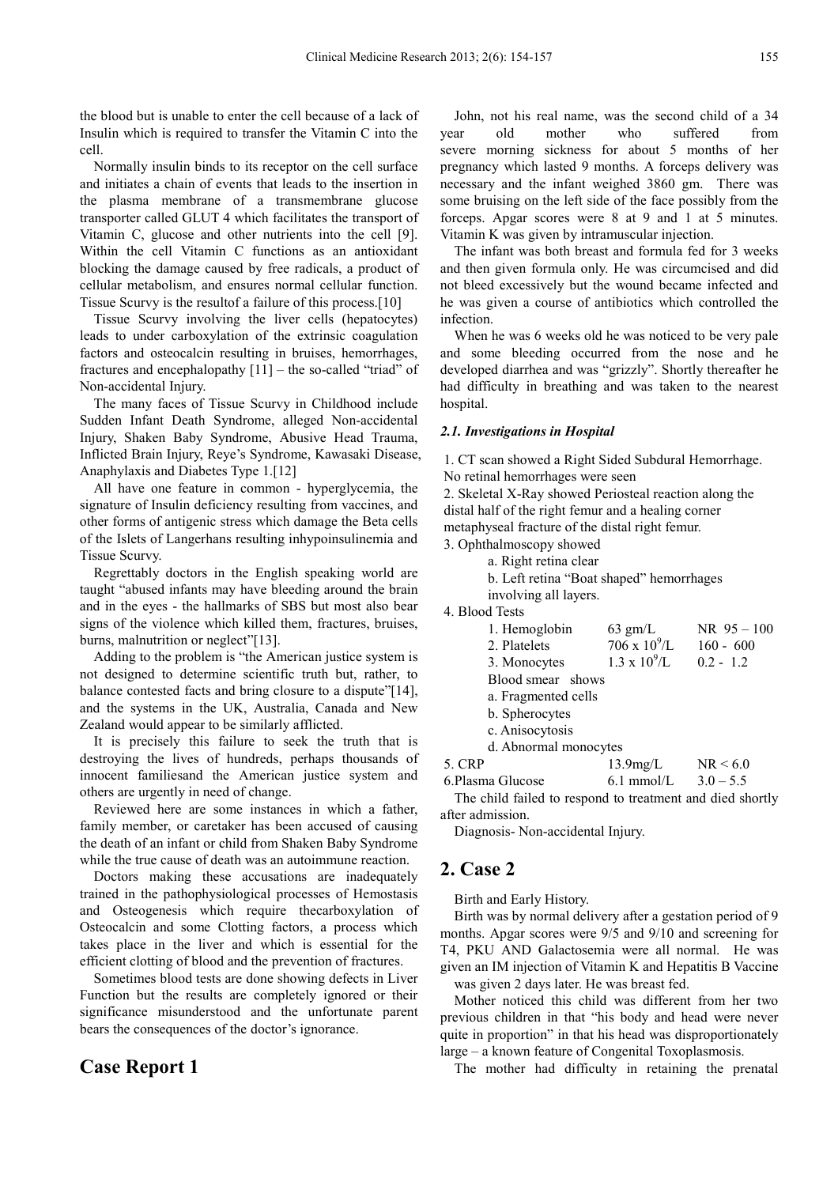the blood but is unable to enter the cell because of a lack of Insulin which is required to transfer the Vitamin C into the cell.

Normally insulin binds to its receptor on the cell surface and initiates a chain of events that leads to the insertion in the plasma membrane of a transmembrane glucose transporter called GLUT 4 which facilitates the transport of Vitamin C, glucose and other nutrients into the cell [9]. Within the cell Vitamin C functions as an antioxidant blocking the damage caused by free radicals, a product of cellular metabolism, and ensures normal cellular function. Tissue Scurvy is the resultof a failure of this process.[10]

Tissue Scurvy involving the liver cells (hepatocytes) leads to under carboxylation of the extrinsic coagulation factors and osteocalcin resulting in bruises, hemorrhages, fractures and encephalopathy [11] – the so-called "triad" of Non-accidental Injury.

The many faces of Tissue Scurvy in Childhood include Sudden Infant Death Syndrome, alleged Non-accidental Injury, Shaken Baby Syndrome, Abusive Head Trauma, Inflicted Brain Injury, Reye's Syndrome, Kawasaki Disease, Anaphylaxis and Diabetes Type 1.[12]

All have one feature in common - hyperglycemia, the signature of Insulin deficiency resulting from vaccines, and other forms of antigenic stress which damage the Beta cells of the Islets of Langerhans resulting inhypoinsulinemia and Tissue Scurvy.

Regrettably doctors in the English speaking world are taught "abused infants may have bleeding around the brain and in the eyes - the hallmarks of SBS but most also bear signs of the violence which killed them, fractures, bruises, burns, malnutrition or neglect"[13].

Adding to the problem is "the American justice system is not designed to determine scientific truth but, rather, to balance contested facts and bring closure to a dispute"[14], and the systems in the UK, Australia, Canada and New Zealand would appear to be similarly afflicted.

It is precisely this failure to seek the truth that is destroying the lives of hundreds, perhaps thousands of innocent familiesand the American justice system and others are urgently in need of change.

Reviewed here are some instances in which a father, family member, or caretaker has been accused of causing the death of an infant or child from Shaken Baby Syndrome while the true cause of death was an autoimmune reaction.

Doctors making these accusations are inadequately trained in the pathophysiological processes of Hemostasis and Osteogenesis which require thecarboxylation of Osteocalcin and some Clotting factors, a process which takes place in the liver and which is essential for the efficient clotting of blood and the prevention of fractures.

Sometimes blood tests are done showing defects in Liver Function but the results are completely ignored or their significance misunderstood and the unfortunate parent bears the consequences of the doctor's ignorance.

# **Case Report 1**

John, not his real name, was the second child of a 34 year old mother who suffered from severe morning sickness for about 5 months of her pregnancy which lasted 9 months. A forceps delivery was necessary and the infant weighed 3860 gm. There was some bruising on the left side of the face possibly from the forceps. Apgar scores were 8 at 9 and 1 at 5 minutes. Vitamin K was given by intramuscular injection.

The infant was both breast and formula fed for 3 weeks and then given formula only. He was circumcised and did not bleed excessively but the wound became infected and he was given a course of antibiotics which controlled the infection.

When he was 6 weeks old he was noticed to be very pale and some bleeding occurred from the nose and he developed diarrhea and was "grizzly". Shortly thereafter he had difficulty in breathing and was taken to the nearest hospital.

#### *2.1. Investigations in Hospital*

1. CT scan showed a Right Sided Subdural Hemorrhage.

No retinal hemorrhages were seen

2. Skeletal X-Ray showed Periosteal reaction along the distal half of the right femur and a healing corner metaphyseal fracture of the distal right femur.

- 3. Ophthalmoscopy showed
	- a. Right retina clear
	- b. Left retina "Boat shaped" hemorrhages

involving all layers.

4. Blood Tests

| 1. Hemoglobin         | $63$ gm/L            | $NR$ 95 $-100$ |
|-----------------------|----------------------|----------------|
| 2. Platelets          | 706 x $10^9$ /L      | $160 - 600$    |
| 3. Monocytes          | $1.3 \times 10^9$ /L | $0.2 - 1.2$    |
| Blood smear shows     |                      |                |
| a. Fragmented cells   |                      |                |
| b. Spherocytes        |                      |                |
| c. Anisocytosis       |                      |                |
| d. Abnormal monocytes |                      |                |
| 5. CRP                | 13.9mg/L             | NR < 6.0       |
| 6. Plasma Glucose     | $6.1$ mmol/L         | $3.0 - 5.5$    |

The child failed to respond to treatment and died shortly after admission.

Diagnosis- Non-accidental Injury.

# **2. Case 2**

Birth and Early History.

Birth was by normal delivery after a gestation period of 9 months. Apgar scores were 9/5 and 9/10 and screening for T4, PKU AND Galactosemia were all normal. He was given an IM injection of Vitamin K and Hepatitis B Vaccine was given 2 days later. He was breast fed.

Mother noticed this child was different from her two previous children in that "his body and head were never quite in proportion" in that his head was disproportionately large – a known feature of Congenital Toxoplasmosis.

The mother had difficulty in retaining the prenatal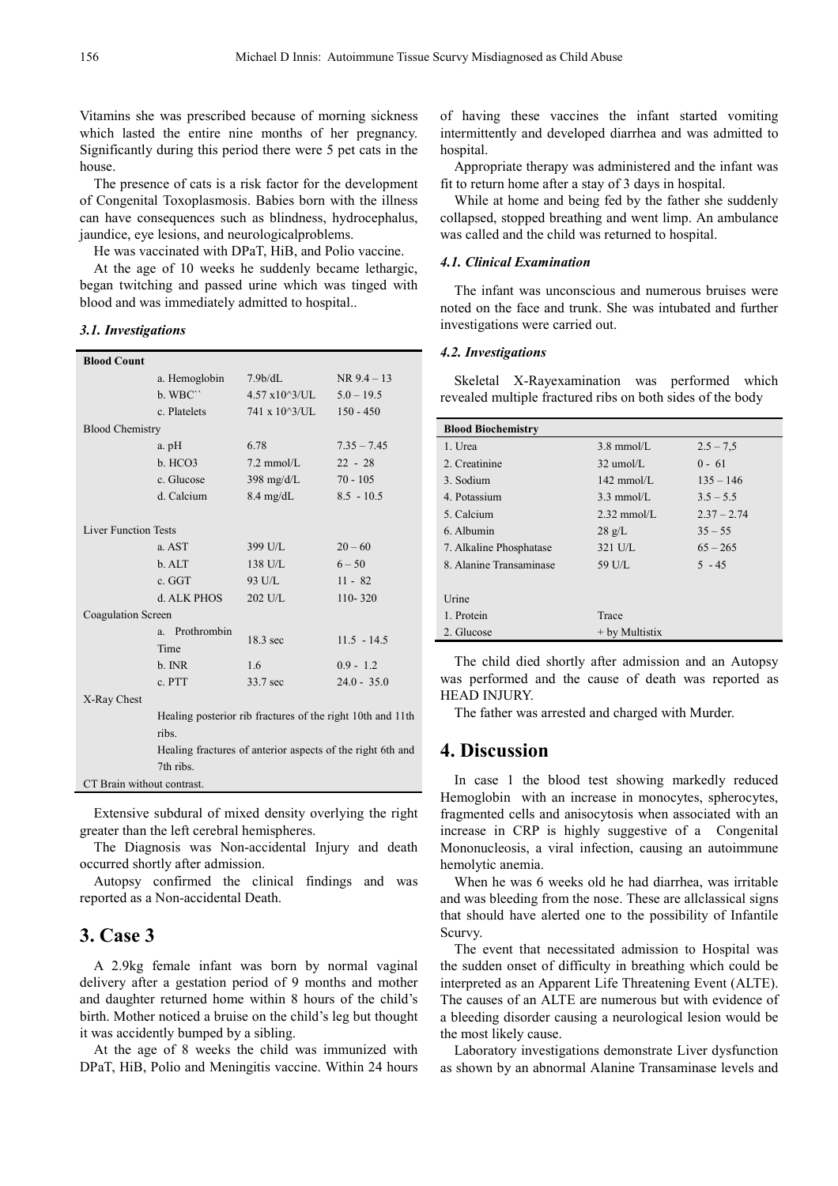Vitamins she was prescribed because of morning sickness which lasted the entire nine months of her pregnancy. Significantly during this period there were 5 pet cats in the house.

The presence of cats is a risk factor for the development of Congenital Toxoplasmosis. Babies born with the illness can have consequences such as blindness, hydrocephalus, jaundice, eye lesions, and neurologicalproblems.

He was vaccinated with DPaT, HiB, and Polio vaccine.

At the age of 10 weeks he suddenly became lethargic, began twitching and passed urine which was tinged with blood and was immediately admitted to hospital..

#### *3.1. Investigations*

| <b>Blood Count</b>                                         |                                                            |                         |               |  |  |
|------------------------------------------------------------|------------------------------------------------------------|-------------------------|---------------|--|--|
|                                                            | a. Hemoglobin                                              | 7.9 <sub>b</sub> /dL    | $NR$ 9.4 – 13 |  |  |
|                                                            | b. WBC``                                                   | $4.57 \times 10^{3}/UL$ | $5.0 - 19.5$  |  |  |
|                                                            | c. Platelets                                               | $741 \times 10^{3}/UL$  | $150 - 450$   |  |  |
| <b>Blood Chemistry</b>                                     |                                                            |                         |               |  |  |
|                                                            | a. pH                                                      | 6.78                    | $7.35 - 7.45$ |  |  |
|                                                            | b. HCO3                                                    | $7.2$ mmol/L            | $22 - 28$     |  |  |
|                                                            | c. Glucose                                                 | $398 \text{ mg/d/L}$    | $70 - 105$    |  |  |
|                                                            | d. Calcium                                                 | $8.4 \text{ mg/dL}$     | $8.5 - 10.5$  |  |  |
|                                                            |                                                            |                         |               |  |  |
| <b>Liver Function Tests</b>                                |                                                            |                         |               |  |  |
|                                                            | a. AST                                                     | 399 U/L                 | $20 - 60$     |  |  |
|                                                            | b. ALT                                                     | 138 U/L                 | $6 - 50$      |  |  |
|                                                            | c. GGT                                                     | 93 U/L                  | $11 - 82$     |  |  |
|                                                            | d. ALK PHOS                                                | 202 U/L                 | $110 - 320$   |  |  |
| Coagulation Screen                                         |                                                            |                         |               |  |  |
|                                                            | a. Prothrombin<br>Time                                     | 18.3 sec                | $11.5 - 14.5$ |  |  |
|                                                            | b. INR                                                     | 1.6                     | $0.9 - 1.2$   |  |  |
|                                                            | c. PTT                                                     | 33.7 sec                | $24.0 - 35.0$ |  |  |
| X-Ray Chest                                                |                                                            |                         |               |  |  |
| Healing posterior rib fractures of the right 10th and 11th |                                                            |                         |               |  |  |
|                                                            | ribs.                                                      |                         |               |  |  |
|                                                            | Healing fractures of anterior aspects of the right 6th and |                         |               |  |  |
|                                                            | 7th ribs.                                                  |                         |               |  |  |
| CT Brain without contrast.                                 |                                                            |                         |               |  |  |
|                                                            |                                                            |                         |               |  |  |

Extensive subdural of mixed density overlying the right greater than the left cerebral hemispheres.

The Diagnosis was Non-accidental Injury and death occurred shortly after admission.

Autopsy confirmed the clinical findings and was reported as a Non-accidental Death.

# **3. Case 3**

A 2.9kg female infant was born by normal vaginal delivery after a gestation period of 9 months and mother and daughter returned home within 8 hours of the child's birth. Mother noticed a bruise on the child's leg but thought it was accidently bumped by a sibling.

At the age of 8 weeks the child was immunized with DPaT, HiB, Polio and Meningitis vaccine. Within 24 hours

of having these vaccines the infant started vomiting intermittently and developed diarrhea and was admitted to hospital

Appropriate therapy was administered and the infant was fit to return home after a stay of 3 days in hospital.

While at home and being fed by the father she suddenly collapsed, stopped breathing and went limp. An ambulance was called and the child was returned to hospital.

#### *4.1. Clinical Examination*

The infant was unconscious and numerous bruises were noted on the face and trunk. She was intubated and further investigations were carried out.

#### *4.2. Investigations*

Skeletal X-Rayexamination was performed which revealed multiple fractured ribs on both sides of the body

| <b>Blood Biochemistry</b> |                       |               |
|---------------------------|-----------------------|---------------|
| 1. Urea                   | $3.8 \text{ mmol/L}$  | $2.5 - 7.5$   |
| 2. Creatinine             | $32 \text{ umol/L}$   | $0 - 61$      |
| 3. Sodium                 | $142 \text{ mmol/L}$  | $135 - 146$   |
| 4. Potassium              | $3.3 \text{ mmol/L}$  | $3.5 - 5.5$   |
| 5. Calcium                | $2.32 \text{ mmol/L}$ | $2.37 - 2.74$ |
| 6. Albumin                | $28 \text{ g/L}$      | $35 - 55$     |
| 7. Alkaline Phosphatase   | $321$ U/L             | $65 - 265$    |
| 8. Alanine Transaminase   | 59 U/L                | $5 - 45$      |
|                           |                       |               |
| Urine                     |                       |               |
| 1. Protein                | Trace                 |               |
| 2. Glucose                | + by Multistix        |               |

The child died shortly after admission and an Autopsy was performed and the cause of death was reported as HEAD INJURY.

The father was arrested and charged with Murder.

# **4. Discussion**

In case 1 the blood test showing markedly reduced Hemoglobin with an increase in monocytes, spherocytes, fragmented cells and anisocytosis when associated with an increase in CRP is highly suggestive of a Congenital Mononucleosis, a viral infection, causing an autoimmune hemolytic anemia.

When he was 6 weeks old he had diarrhea, was irritable and was bleeding from the nose. These are allclassical signs that should have alerted one to the possibility of Infantile Scurvy.

The event that necessitated admission to Hospital was the sudden onset of difficulty in breathing which could be interpreted as an Apparent Life Threatening Event (ALTE). The causes of an ALTE are numerous but with evidence of a bleeding disorder causing a neurological lesion would be the most likely cause.

Laboratory investigations demonstrate Liver dysfunction as shown by an abnormal Alanine Transaminase levels and